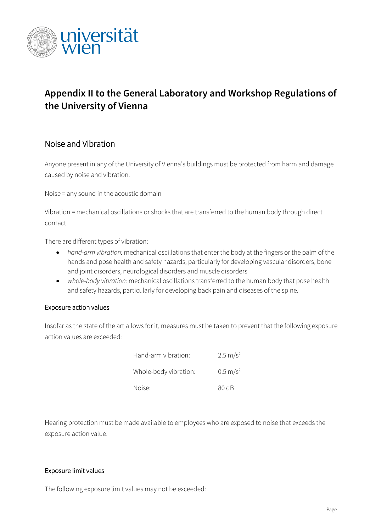

# **Appendix II to the General Laboratory and Workshop Regulations of the University of Vienna**

## Noise and Vibration

Anyone present in any of the University of Vienna's buildings must be protected from harm and damage caused by noise and vibration.

Noise = any sound in the acoustic domain

Vibration = mechanical oscillations or shocks that are transferred to the human body through direct contact

There are different types of vibration:

- *hand-arm vibration:* mechanical oscillations that enter the body at the fingers or the palm of the hands and pose health and safety hazards, particularly for developing vascular disorders, bone and joint disorders, neurological disorders and muscle disorders
- *whole-body vibration:* mechanical oscillations transferred to the human body that pose health and safety hazards, particularly for developing back pain and diseases of the spine.

### Exposure action values

Insofar as the state of the art allows for it, measures must be taken to prevent that the following exposure action values are exceeded:

| Hand-arm vibration:   | $2.5 \text{ m/s}^2$ |
|-----------------------|---------------------|
| Whole-body vibration: | $0.5 \text{ m/s}^2$ |
| Noise:                | 80 dB               |

Hearing protection must be made available to employees who are exposed to noise that exceeds the exposure action value.

### Exposure limit values

The following exposure limit values may not be exceeded: